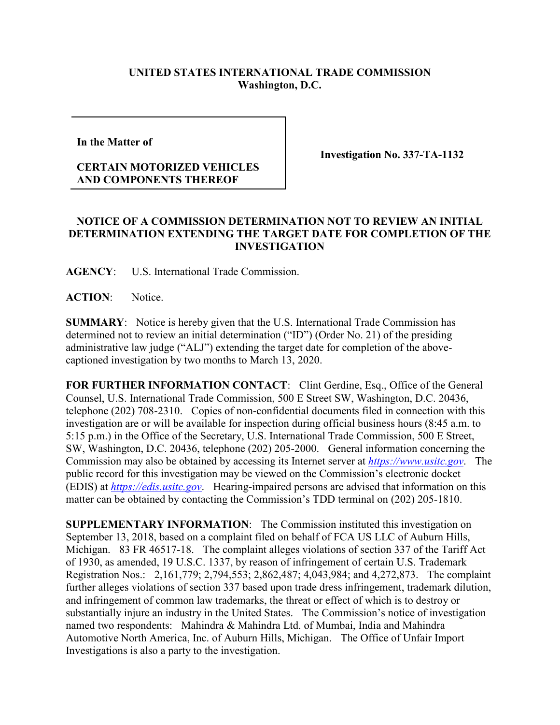## **UNITED STATES INTERNATIONAL TRADE COMMISSION Washington, D.C.**

**In the Matter of** 

## **CERTAIN MOTORIZED VEHICLES AND COMPONENTS THEREOF**

**Investigation No. 337-TA-1132**

## **NOTICE OF A COMMISSION DETERMINATION NOT TO REVIEW AN INITIAL DETERMINATION EXTENDING THE TARGET DATE FOR COMPLETION OF THE INVESTIGATION**

**AGENCY**: U.S. International Trade Commission.

**ACTION**: Notice.

**SUMMARY**: Notice is hereby given that the U.S. International Trade Commission has determined not to review an initial determination ("ID") (Order No. 21) of the presiding administrative law judge ("ALJ") extending the target date for completion of the abovecaptioned investigation by two months to March 13, 2020.

**FOR FURTHER INFORMATION CONTACT:** Clint Gerdine, Esq., Office of the General Counsel, U.S. International Trade Commission, 500 E Street SW, Washington, D.C. 20436, telephone (202) 708-2310. Copies of non-confidential documents filed in connection with this investigation are or will be available for inspection during official business hours (8:45 a.m. to 5:15 p.m.) in the Office of the Secretary, U.S. International Trade Commission, 500 E Street, SW, Washington, D.C. 20436, telephone (202) 205-2000. General information concerning the Commission may also be obtained by accessing its Internet server at *[https://www.usitc.gov](https://www.usitc.gov/)*. The public record for this investigation may be viewed on the Commission's electronic docket (EDIS) at *[https://edis.usitc.gov](https://edis.usitc.gov/)*. Hearing-impaired persons are advised that information on this matter can be obtained by contacting the Commission's TDD terminal on (202) 205-1810.

**SUPPLEMENTARY INFORMATION**: The Commission instituted this investigation on September 13, 2018, based on a complaint filed on behalf of FCA US LLC of Auburn Hills, Michigan. 83 FR 46517-18. The complaint alleges violations of section 337 of the Tariff Act of 1930, as amended, 19 U.S.C. 1337, by reason of infringement of certain U.S. Trademark Registration Nos.: 2,161,779; 2,794,553; 2,862,487; 4,043,984; and 4,272,873. The complaint further alleges violations of section 337 based upon trade dress infringement, trademark dilution, and infringement of common law trademarks, the threat or effect of which is to destroy or substantially injure an industry in the United States. The Commission's notice of investigation named two respondents: Mahindra & Mahindra Ltd. of Mumbai, India and Mahindra Automotive North America, Inc. of Auburn Hills, Michigan. The Office of Unfair Import Investigations is also a party to the investigation.